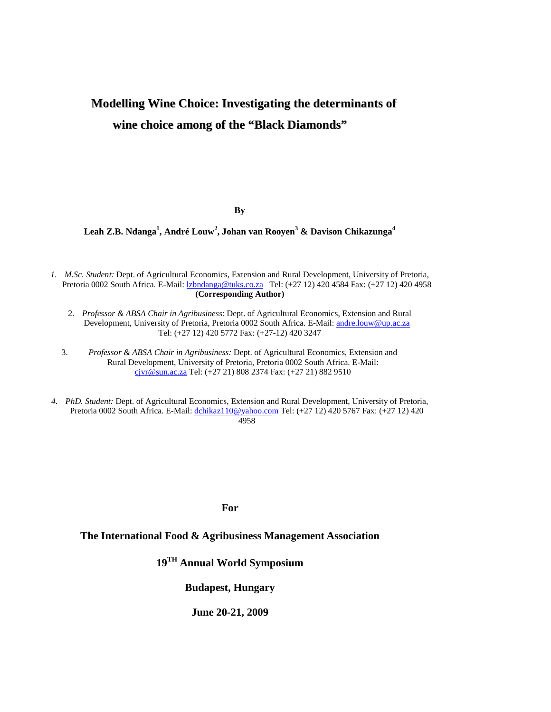# **Modelling Wine Choice: Investigating the determinants of wine choice among of the "Black Diamonds"**

**By** 

**Leah Z.B. Ndanga<sup>1</sup> , André Louw<sup>2</sup> , Johan van Rooyen<sup>3</sup> & Davison Chikazunga<sup>4</sup>**

- *1. M.Sc. Student:* Dept. of Agricultural Economics, Extension and Rural Development, University of Pretoria, Pretoria 0002 South Africa. E-Mail: lzbndanga@tuks.co.za Tel: (+27 12) 420 4584 Fax: (+27 12) 420 4958 **(Corresponding Author)** 
	- 2. *Professor & ABSA Chair in Agribusiness*: Dept. of Agricultural Economics, Extension and Rural Development, University of Pretoria, Pretoria 0002 South Africa. E-Mail: andre.louw@up.ac.za Tel: (+27 12) 420 5772 Fax: (+27-12) 420 3247
	- 3. *Professor & ABSA Chair in Agribusiness:* Dept. of Agricultural Economics, Extension and Rural Development, University of Pretoria, Pretoria 0002 South Africa. E-Mail: cjvr@sun.ac.za Tel: (+27 21) 808 2374 Fax: (+27 21) 882 9510
- *4. PhD. Student:* Dept. of Agricultural Economics, Extension and Rural Development, University of Pretoria, Pretoria 0002 South Africa. E-Mail: dchikaz110@yahoo.com Tel: (+27 12) 420 5767 Fax: (+27 12) 420 4958

**For** 

### **The International Food & Agribusiness Management Association**

**19TH Annual World Symposium** 

### **Budapest, Hungary**

**June 20-21, 2009**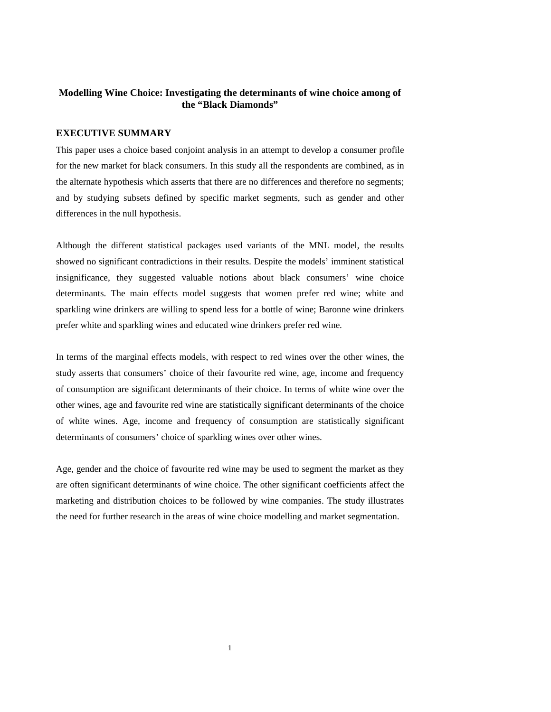### **Modelling Wine Choice: Investigating the determinants of wine choice among of the "Black Diamonds"**

### **EXECUTIVE SUMMARY**

This paper uses a choice based conjoint analysis in an attempt to develop a consumer profile for the new market for black consumers. In this study all the respondents are combined, as in the alternate hypothesis which asserts that there are no differences and therefore no segments; and by studying subsets defined by specific market segments, such as gender and other differences in the null hypothesis.

Although the different statistical packages used variants of the MNL model, the results showed no significant contradictions in their results. Despite the models' imminent statistical insignificance, they suggested valuable notions about black consumers' wine choice determinants. The main effects model suggests that women prefer red wine; white and sparkling wine drinkers are willing to spend less for a bottle of wine; Baronne wine drinkers prefer white and sparkling wines and educated wine drinkers prefer red wine.

In terms of the marginal effects models, with respect to red wines over the other wines, the study asserts that consumers' choice of their favourite red wine, age, income and frequency of consumption are significant determinants of their choice. In terms of white wine over the other wines, age and favourite red wine are statistically significant determinants of the choice of white wines. Age, income and frequency of consumption are statistically significant determinants of consumers' choice of sparkling wines over other wines.

Age, gender and the choice of favourite red wine may be used to segment the market as they are often significant determinants of wine choice. The other significant coefficients affect the marketing and distribution choices to be followed by wine companies. The study illustrates the need for further research in the areas of wine choice modelling and market segmentation.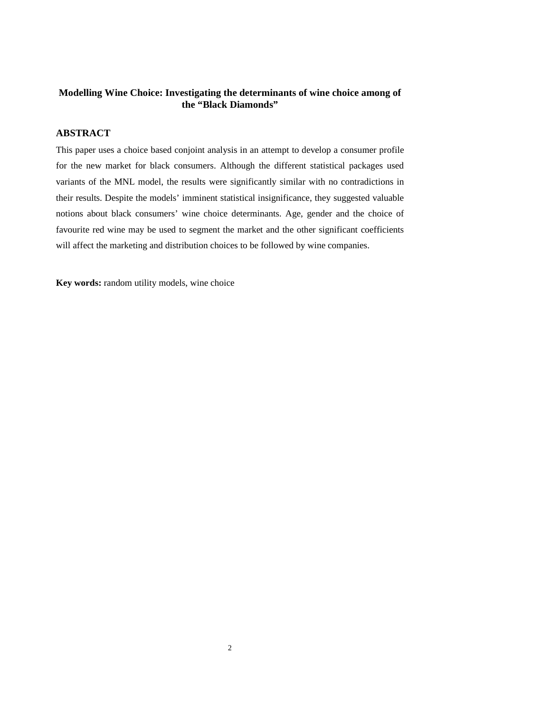### **Modelling Wine Choice: Investigating the determinants of wine choice among of the "Black Diamonds"**

### **ABSTRACT**

This paper uses a choice based conjoint analysis in an attempt to develop a consumer profile for the new market for black consumers. Although the different statistical packages used variants of the MNL model, the results were significantly similar with no contradictions in their results. Despite the models' imminent statistical insignificance, they suggested valuable notions about black consumers' wine choice determinants. Age, gender and the choice of favourite red wine may be used to segment the market and the other significant coefficients will affect the marketing and distribution choices to be followed by wine companies.

**Key words:** random utility models, wine choice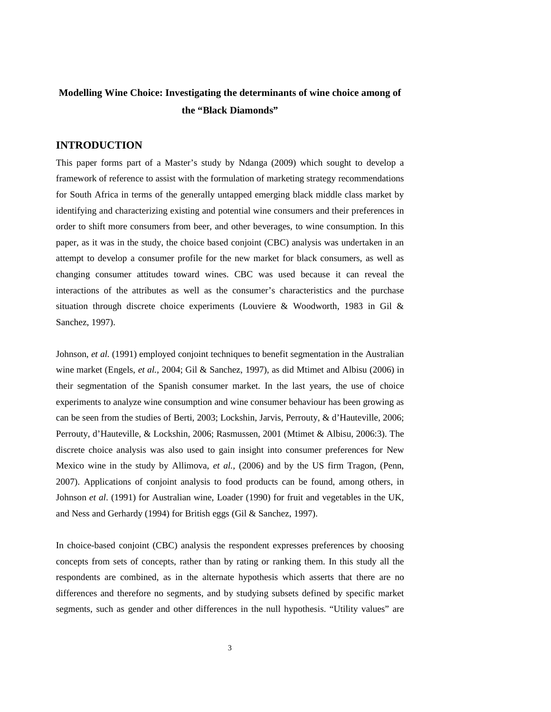## **Modelling Wine Choice: Investigating the determinants of wine choice among of the "Black Diamonds"**

### **INTRODUCTION**

This paper forms part of a Master's study by Ndanga (2009) which sought to develop a framework of reference to assist with the formulation of marketing strategy recommendations for South Africa in terms of the generally untapped emerging black middle class market by identifying and characterizing existing and potential wine consumers and their preferences in order to shift more consumers from beer, and other beverages, to wine consumption. In this paper, as it was in the study, the choice based conjoint (CBC) analysis was undertaken in an attempt to develop a consumer profile for the new market for black consumers, as well as changing consumer attitudes toward wines. CBC was used because it can reveal the interactions of the attributes as well as the consumer's characteristics and the purchase situation through discrete choice experiments (Louviere & Woodworth, 1983 in Gil & Sanchez, 1997).

Johnson, *et al.* (1991) employed conjoint techniques to benefit segmentation in the Australian wine market (Engels, *et al.,* 2004; Gil & Sanchez, 1997), as did Mtimet and Albisu (2006) in their segmentation of the Spanish consumer market. In the last years, the use of choice experiments to analyze wine consumption and wine consumer behaviour has been growing as can be seen from the studies of Berti, 2003; Lockshin, Jarvis, Perrouty, & d'Hauteville, 2006; Perrouty, d'Hauteville, & Lockshin, 2006; Rasmussen, 2001 (Mtimet & Albisu, 2006:3). The discrete choice analysis was also used to gain insight into consumer preferences for New Mexico wine in the study by Allimova, *et al.,* (2006) and by the US firm Tragon, (Penn, 2007). Applications of conjoint analysis to food products can be found, among others, in Johnson *et al*. (1991) for Australian wine, Loader (1990) for fruit and vegetables in the UK, and Ness and Gerhardy (1994) for British eggs (Gil & Sanchez, 1997).

In choice-based conjoint (CBC) analysis the respondent expresses preferences by choosing concepts from sets of concepts, rather than by rating or ranking them. In this study all the respondents are combined, as in the alternate hypothesis which asserts that there are no differences and therefore no segments, and by studying subsets defined by specific market segments, such as gender and other differences in the null hypothesis. "Utility values" are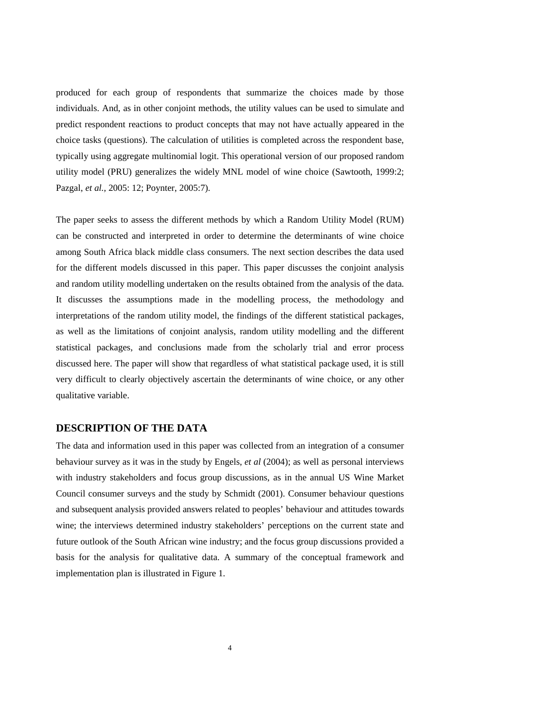produced for each group of respondents that summarize the choices made by those individuals. And, as in other conjoint methods, the utility values can be used to simulate and predict respondent reactions to product concepts that may not have actually appeared in the choice tasks (questions). The calculation of utilities is completed across the respondent base, typically using aggregate multinomial logit. This operational version of our proposed random utility model (PRU) generalizes the widely MNL model of wine choice (Sawtooth, 1999:2; Pazgal, *et al.,* 2005: 12; Poynter, 2005:7).

The paper seeks to assess the different methods by which a Random Utility Model (RUM) can be constructed and interpreted in order to determine the determinants of wine choice among South Africa black middle class consumers. The next section describes the data used for the different models discussed in this paper. This paper discusses the conjoint analysis and random utility modelling undertaken on the results obtained from the analysis of the data. It discusses the assumptions made in the modelling process, the methodology and interpretations of the random utility model, the findings of the different statistical packages, as well as the limitations of conjoint analysis, random utility modelling and the different statistical packages, and conclusions made from the scholarly trial and error process discussed here. The paper will show that regardless of what statistical package used, it is still very difficult to clearly objectively ascertain the determinants of wine choice, or any other qualitative variable.

### **DESCRIPTION OF THE DATA**

The data and information used in this paper was collected from an integration of a consumer behaviour survey as it was in the study by Engels, *et al* (2004); as well as personal interviews with industry stakeholders and focus group discussions, as in the annual US Wine Market Council consumer surveys and the study by Schmidt (2001). Consumer behaviour questions and subsequent analysis provided answers related to peoples' behaviour and attitudes towards wine; the interviews determined industry stakeholders' perceptions on the current state and future outlook of the South African wine industry; and the focus group discussions provided a basis for the analysis for qualitative data. A summary of the conceptual framework and implementation plan is illustrated in Figure 1.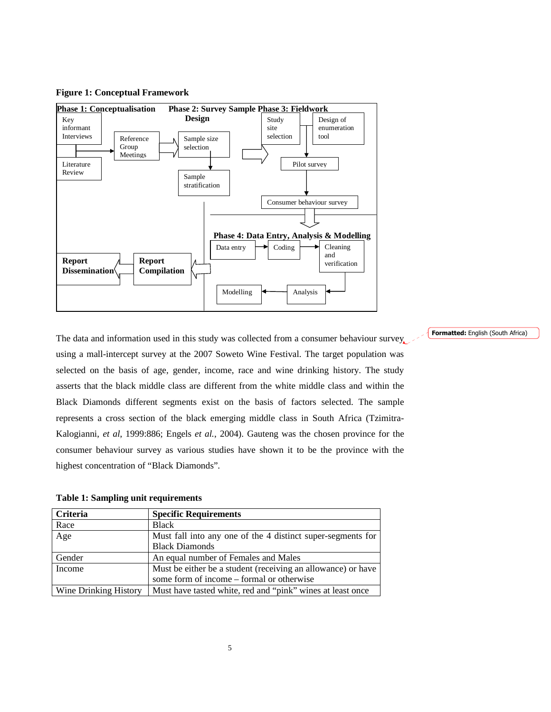

**Figure 1: Conceptual Framework** 

The data and information used in this study was collected from a consumer behaviour survey, using a mall-intercept survey at the 2007 Soweto Wine Festival. The target population was selected on the basis of age, gender, income, race and wine drinking history. The study asserts that the black middle class are different from the white middle class and within the Black Diamonds different segments exist on the basis of factors selected. The sample represents a cross section of the black emerging middle class in South Africa (Tzimitra-Kalogianni, *et al*, 1999:886; Engels *et al.*, 2004). Gauteng was the chosen province for the consumer behaviour survey as various studies have shown it to be the province with the highest concentration of "Black Diamonds".

**Table 1: Sampling unit requirements** 

| Criteria              | <b>Specific Requirements</b>                                 |
|-----------------------|--------------------------------------------------------------|
| Race                  | <b>Black</b>                                                 |
| Age                   | Must fall into any one of the 4 distinct super-segments for  |
|                       | <b>Black Diamonds</b>                                        |
| Gender                | An equal number of Females and Males                         |
| Income                | Must be either be a student (receiving an allowance) or have |
|                       | some form of income – formal or otherwise                    |
| Wine Drinking History | Must have tasted white, red and "pink" wines at least once   |

Formatted: English (South Africa)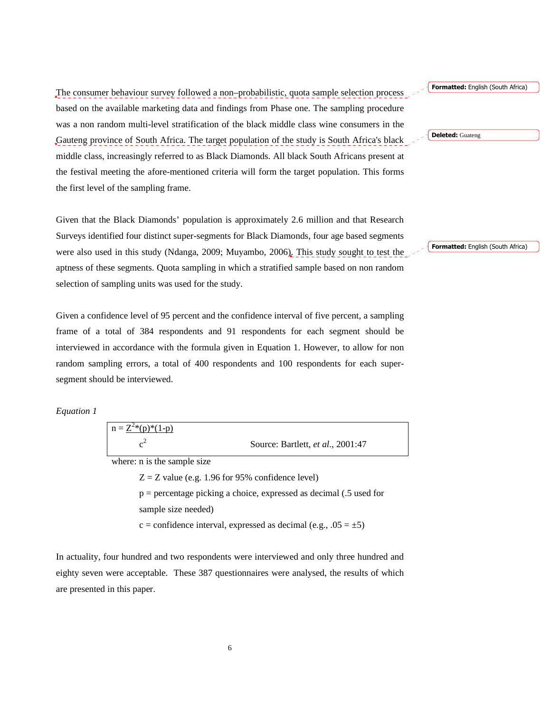The consumer behaviour survey followed a non–probabilistic, quota sample selection process based on the available marketing data and findings from Phase one. The sampling procedure was a non random multi-level stratification of the black middle class wine consumers in the Gauteng province of South Africa. The target population of the study is South Africa's black middle class, increasingly referred to as Black Diamonds. All black South Africans present at the festival meeting the afore-mentioned criteria will form the target population. This forms the first level of the sampling frame.

Given that the Black Diamonds' population is approximately 2.6 million and that Research Surveys identified four distinct super-segments for Black Diamonds, four age based segments were also used in this study (Ndanga, 2009; Muyambo, 2006). This study sought to test the aptness of these segments. Quota sampling in which a stratified sample based on non random selection of sampling units was used for the study.

Given a confidence level of 95 percent and the confidence interval of five percent, a sampling frame of a total of 384 respondents and 91 respondents for each segment should be interviewed in accordance with the formula given in Equation 1. However, to allow for non random sampling errors, a total of 400 respondents and 100 respondents for each supersegment should be interviewed.

*Equation 1* 

| $n = Z^{2*}(p)*(1-p)$                                                |  |  |  |
|----------------------------------------------------------------------|--|--|--|
| c <sup>2</sup><br>Source: Bartlett, et al., 2001:47                  |  |  |  |
| where: n is the sample size                                          |  |  |  |
| $Z = Z$ value (e.g. 1.96 for 95% confidence level)                   |  |  |  |
| $p =$ percentage picking a choice, expressed as decimal (.5 used for |  |  |  |
| sample size needed)                                                  |  |  |  |
| c = confidence interval, expressed as decimal (e.g., $.05 = \pm 5$ ) |  |  |  |

In actuality, four hundred and two respondents were interviewed and only three hundred and eighty seven were acceptable. These 387 questionnaires were analysed, the results of which are presented in this paper.

Formatted: English (South Africa)

Deleted: Guateng

Formatted: English (South Africa)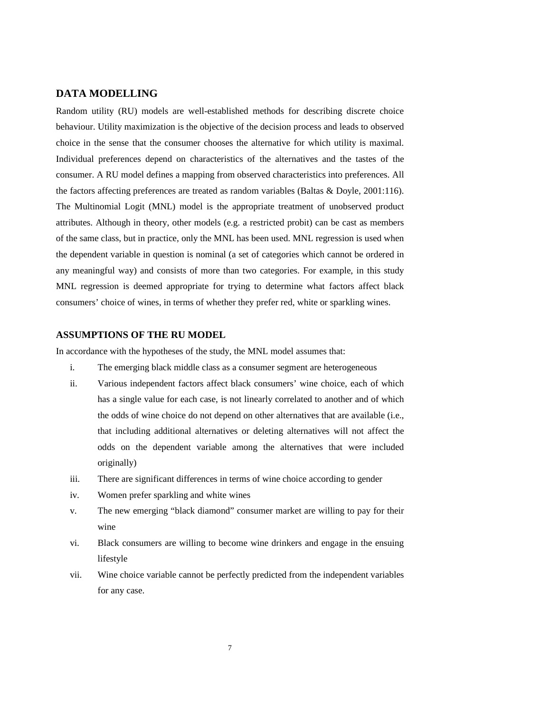### **DATA MODELLING**

Random utility (RU) models are well-established methods for describing discrete choice behaviour. Utility maximization is the objective of the decision process and leads to observed choice in the sense that the consumer chooses the alternative for which utility is maximal. Individual preferences depend on characteristics of the alternatives and the tastes of the consumer. A RU model defines a mapping from observed characteristics into preferences. All the factors affecting preferences are treated as random variables (Baltas & Doyle, 2001:116). The Multinomial Logit (MNL) model is the appropriate treatment of unobserved product attributes. Although in theory, other models (e.g. a restricted probit) can be cast as members of the same class, but in practice, only the MNL has been used. MNL regression is used when the dependent variable in question is nominal (a set of categories which cannot be ordered in any meaningful way) and consists of more than two categories. For example, in this study MNL regression is deemed appropriate for trying to determine what factors affect black consumers' choice of wines, in terms of whether they prefer red, white or sparkling wines.

#### **ASSUMPTIONS OF THE RU MODEL**

In accordance with the hypotheses of the study, the MNL model assumes that:

- i. The emerging black middle class as a consumer segment are heterogeneous
- ii. Various independent factors affect black consumers' wine choice, each of which has a single value for each case, is not linearly correlated to another and of which the odds of wine choice do not depend on other alternatives that are available (i.e., that including additional alternatives or deleting alternatives will not affect the odds on the dependent variable among the alternatives that were included originally)
- iii. There are significant differences in terms of wine choice according to gender
- iv. Women prefer sparkling and white wines
- v. The new emerging "black diamond" consumer market are willing to pay for their wine
- vi. Black consumers are willing to become wine drinkers and engage in the ensuing lifestyle
- vii. Wine choice variable cannot be perfectly predicted from the independent variables for any case.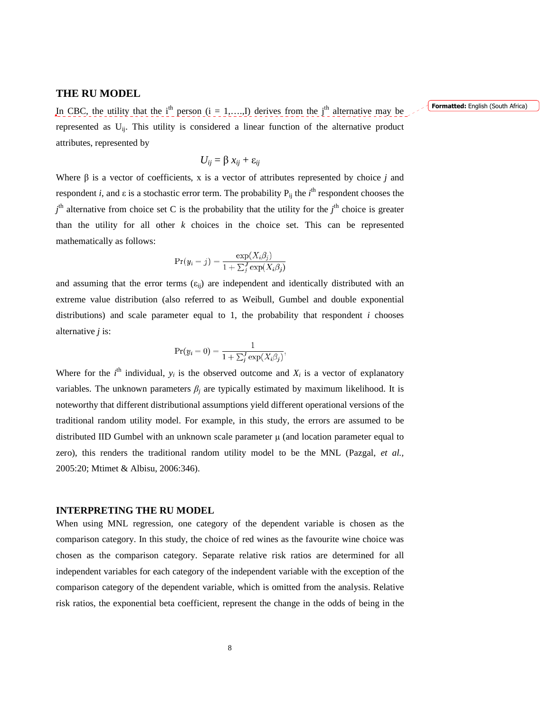### **THE RU MODEL**

In CBC, the utility that the i<sup>th</sup> person (i = 1,...,I) derives from the j<sup>th</sup> alternative may be represented as U<sub>ij</sub>. This utility is considered a linear function of the alternative product attributes, represented by

$$
U_{ij} = \beta x_{ij} + \varepsilon_{ij}
$$

Where β is a vector of coefficients, x is a vector of attributes represented by choice *j* and respondent *i*, and  $\varepsilon$  is a stochastic error term. The probability  $P_{ij}$  the *i*<sup>th</sup> respondent chooses the *j*<sup>th</sup> alternative from choice set C is the probability that the utility for the *j*<sup>th</sup> choice is greater than the utility for all other *k* choices in the choice set. This can be represented mathematically as follows:

$$
\Pr(y_i = j) = \frac{\exp(X_i \beta_j)}{1 + \sum_j^J \exp(X_i \beta_j)}
$$

and assuming that the error terms  $(\epsilon_{ij})$  are independent and identically distributed with an extreme value distribution (also referred to as Weibull, Gumbel and double exponential distributions) and scale parameter equal to 1, the probability that respondent *i* chooses alternative *j* is:

$$
\Pr(y_i = 0) = \frac{1}{1 + \sum_j^J \exp(X_i \beta_j)},
$$

Where for the  $i^{\text{th}}$  individual,  $y_i$  is the observed outcome and  $X_i$  is a vector of explanatory variables. The unknown parameters  $\beta_j$  are typically estimated by maximum likelihood. It is noteworthy that different distributional assumptions yield different operational versions of the traditional random utility model. For example, in this study, the errors are assumed to be distributed IID Gumbel with an unknown scale parameter  $\mu$  (and location parameter equal to zero), this renders the traditional random utility model to be the MNL (Pazgal, *et al.,* 2005:20; Mtimet & Albisu, 2006:346).

#### **INTERPRETING THE RU MODEL**

When using MNL regression, one category of the dependent variable is chosen as the comparison category. In this study, the choice of red wines as the favourite wine choice was chosen as the comparison category. Separate relative risk ratios are determined for all independent variables for each category of the independent variable with the exception of the comparison category of the dependent variable, which is omitted from the analysis. Relative risk ratios, the exponential beta coefficient, represent the change in the odds of being in the Formatted: English (South Africa)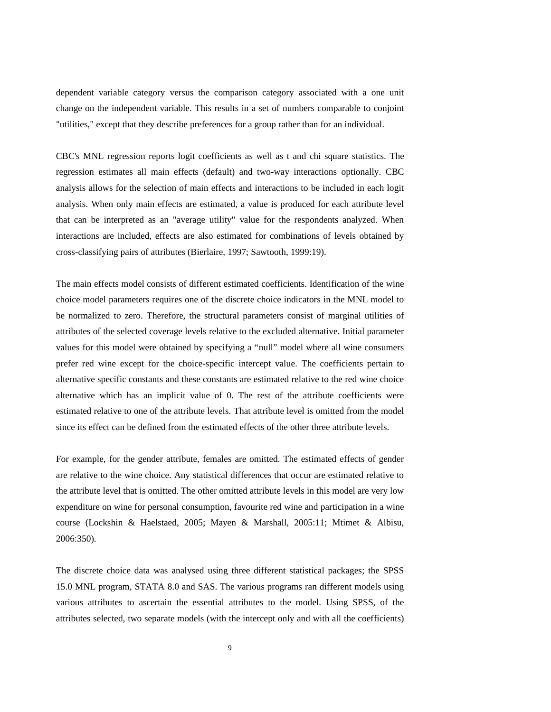dependent variable category versus the comparison category associated with a one unit change on the independent variable. This results in a set of numbers comparable to conjoint "utilities," except that they describe preferences for a group rather than for an individual.

CBC's MNL regression reports logit coefficients as well as t and chi square statistics. The regression estimates all main effects (default) and two-way interactions optionally. CBC analysis allows for the selection of main effects and interactions to be included in each logit analysis. When only main effects are estimated, a value is produced for each attribute level that can be interpreted as an "average utility" value for the respondents analyzed. When interactions are included, effects are also estimated for combinations of levels obtained by cross-classifying pairs of attributes (Bierlaire, 1997; Sawtooth, 1999:19).

The main effects model consists of different estimated coefficients. Identification of the wine choice model parameters requires one of the discrete choice indicators in the MNL model to be normalized to zero. Therefore, the structural parameters consist of marginal utilities of attributes of the selected coverage levels relative to the excluded alternative. Initial parameter values for this model were obtained by specifying a "null" model where all wine consumers prefer red wine except for the choice-specific intercept value. The coefficients pertain to alternative specific constants and these constants are estimated relative to the red wine choice alternative which has an implicit value of 0. The rest of the attribute coefficients were estimated relative to one of the attribute levels. That attribute level is omitted from the model since its effect can be defined from the estimated effects of the other three attribute levels.

For example, for the gender attribute, females are omitted. The estimated effects of gender are relative to the wine choice. Any statistical differences that occur are estimated relative to the attribute level that is omitted. The other omitted attribute levels in this model are very low expenditure on wine for personal consumption, favourite red wine and participation in a wine course (Lockshin & Haelstaed, 2005; Mayen & Marshall, 2005:11; Mtimet & Albisu, 2006:350).

The discrete choice data was analysed using three different statistical packages; the SPSS 15.0 MNL program, STATA 8.0 and SAS. The various programs ran different models using various attributes to ascertain the essential attributes to the model. Using SPSS, of the attributes selected, two separate models (with the intercept only and with all the coefficients)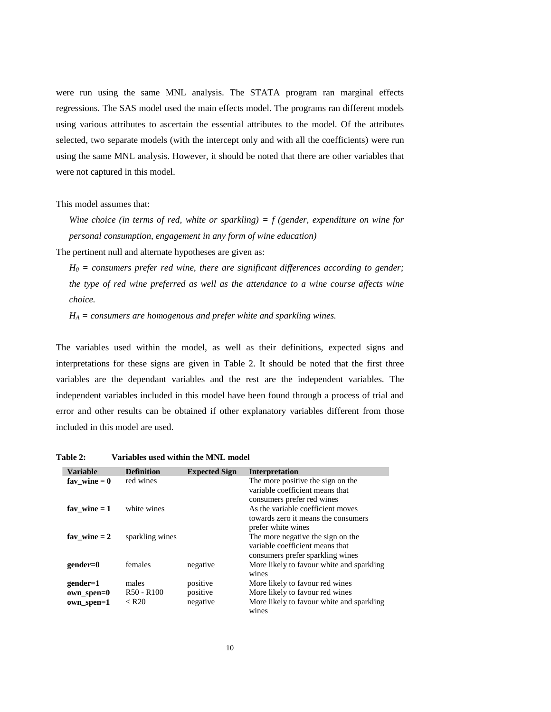were run using the same MNL analysis. The STATA program ran marginal effects regressions. The SAS model used the main effects model. The programs ran different models using various attributes to ascertain the essential attributes to the model. Of the attributes selected, two separate models (with the intercept only and with all the coefficients) were run using the same MNL analysis. However, it should be noted that there are other variables that were not captured in this model.

This model assumes that:

*Wine choice (in terms of red, white or sparkling) = f (gender, expenditure on wine for personal consumption, engagement in any form of wine education)* 

The pertinent null and alternate hypotheses are given as:

 $H_0 =$  consumers prefer red wine, there are significant differences according to gender; *the type of red wine preferred as well as the attendance to a wine course affects wine choice.* 

*HA = consumers are homogenous and prefer white and sparkling wines.* 

The variables used within the model, as well as their definitions, expected signs and interpretations for these signs are given in Table 2. It should be noted that the first three variables are the dependant variables and the rest are the independent variables. The independent variables included in this model have been found through a process of trial and error and other results can be obtained if other explanatory variables different from those included in this model are used.

| Table 2: | Variables used within the MNL model |  |  |  |
|----------|-------------------------------------|--|--|--|
|          |                                     |  |  |  |

| <b>Variable</b> | <b>Definition</b> | <b>Expected Sign</b> | <b>Interpretation</b>                                                                                    |
|-----------------|-------------------|----------------------|----------------------------------------------------------------------------------------------------------|
| fav wine $= 0$  | red wines         |                      | The more positive the sign on the<br>variable coefficient means that<br>consumers prefer red wines       |
| fav wine $= 1$  | white wines       |                      | As the variable coefficient moves<br>towards zero it means the consumers<br>prefer white wines           |
| fav wine $= 2$  | sparkling wines   |                      | The more negative the sign on the<br>variable coefficient means that<br>consumers prefer sparkling wines |
| $gender=0$      | females           | negative             | More likely to favour white and sparkling<br>wines                                                       |
| $gender=1$      | males             | positive             | More likely to favour red wines                                                                          |
| own_spen=0      | $R50 - R100$      | positive             | More likely to favour red wines                                                                          |
| own_spen=1      | $\langle$ R20     | negative             | More likely to favour white and sparkling<br>wines                                                       |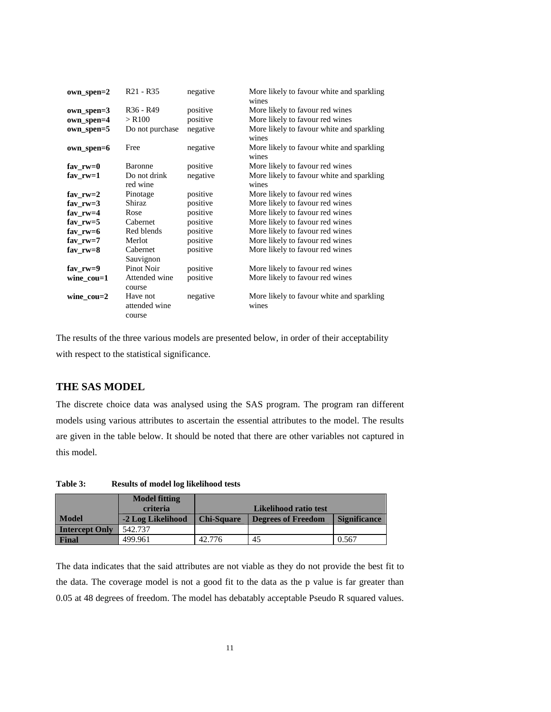| own_spen=2          | R <sub>21</sub> - R <sub>35</sub>   | negative | More likely to favour white and sparkling<br>wines |
|---------------------|-------------------------------------|----------|----------------------------------------------------|
| $own\_open=3$       | R <sub>36</sub> - R <sub>49</sub>   | positive | More likely to favour red wines                    |
| own_spen=4          | $>$ R100                            | positive | More likely to favour red wines                    |
| own_spen=5          | Do not purchase                     | negative | More likely to favour white and sparkling<br>wines |
| own_spen=6          | Free                                | negative | More likely to favour white and sparkling<br>wines |
| fav $rw=0$          | Baronne                             | positive | More likely to favour red wines                    |
| $fav_rw=1$          | Do not drink<br>red wine            | negative | More likely to favour white and sparkling<br>wines |
| fav $rw=2$          | Pinotage                            | positive | More likely to favour red wines                    |
| $fav_rw=3$          | Shiraz                              | positive | More likely to favour red wines                    |
| fav $rw=4$          | Rose                                | positive | More likely to favour red wines                    |
| fav $rw=5$          | Cabernet                            | positive | More likely to favour red wines                    |
| fav $rw=6$          | Red blends                          | positive | More likely to favour red wines                    |
| $fav_rw=7$          | Merlot                              | positive | More likely to favour red wines                    |
| fav_rw= $8$         | Cabernet<br>Sauvignon               | positive | More likely to favour red wines                    |
| fav $rw=9$          | Pinot Noir                          | positive | More likely to favour red wines                    |
| wine_cou=1          | Attended wine<br>course             | positive | More likely to favour red wines                    |
| wine $\text{cou}=2$ | Have not<br>attended wine<br>course | negative | More likely to favour white and sparkling<br>wines |

The results of the three various models are presented below, in order of their acceptability with respect to the statistical significance.

### **THE SAS MODEL**

The discrete choice data was analysed using the SAS program. The program ran different models using various attributes to ascertain the essential attributes to the model. The results are given in the table below. It should be noted that there are other variables not captured in this model.

**Table 3: Results of model log likelihood tests** 

|                       | <b>Model fitting</b><br>criteria |                   | Likelihood ratio test     |                     |
|-----------------------|----------------------------------|-------------------|---------------------------|---------------------|
| <b>Model</b>          | -2 Log Likelihood                | <b>Chi-Square</b> | <b>Degrees of Freedom</b> | <b>Significance</b> |
| <b>Intercept Only</b> | 542.737                          |                   |                           |                     |
| Final                 | 499.961                          | 42.776            | 45                        | 0.567               |

The data indicates that the said attributes are not viable as they do not provide the best fit to the data. The coverage model is not a good fit to the data as the p value is far greater than 0.05 at 48 degrees of freedom. The model has debatably acceptable Pseudo R squared values.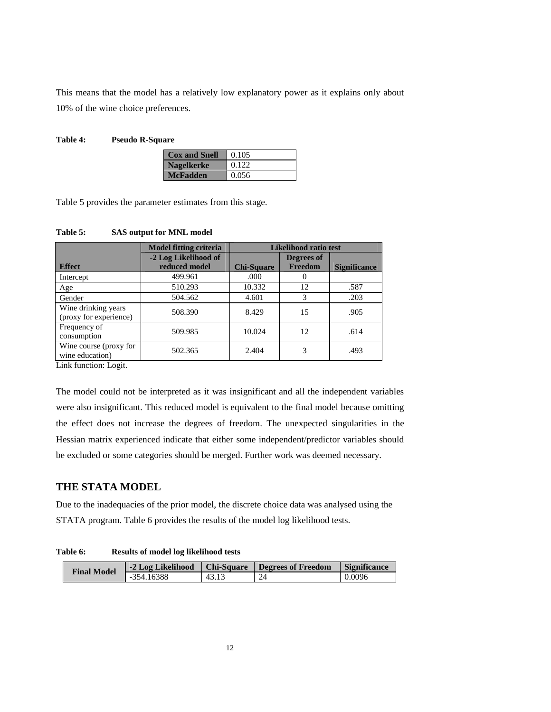This means that the model has a relatively low explanatory power as it explains only about 10% of the wine choice preferences.

### **Table 4: Pseudo R-Square**

| <b>Cox and Snell</b> | 0.105 |
|----------------------|-------|
| <b>Nagelkerke</b>    | 0.122 |
| <b>McFadden</b>      | 0.056 |

Table 5 provides the parameter estimates from this stage.

#### **Table 5: SAS output for MNL model**

|                                                | <b>Model fitting criteria</b>         | <b>Likelihood ratio test</b> |                       |                     |  |
|------------------------------------------------|---------------------------------------|------------------------------|-----------------------|---------------------|--|
| <b>Effect</b>                                  | -2 Log Likelihood of<br>reduced model | <b>Chi-Square</b>            | Degrees of<br>Freedom | <b>Significance</b> |  |
| Intercept                                      | 499.961                               | .000                         |                       |                     |  |
| Age                                            | 510.293                               | 10.332                       | 12                    | .587                |  |
| Gender                                         | 504.562                               | 4.601                        | 3                     | .203                |  |
| Wine drinking years<br>(proxy for experience)  | 508.390                               | 8.429                        | 15                    | .905                |  |
| Frequency of<br>consumption                    | 509.985                               | 10.024                       | 12                    | .614                |  |
| Wine course (proxy for<br>wine education)<br>. | 502.365                               | 2.404                        | 3                     | .493                |  |

Link function: Logit.

The model could not be interpreted as it was insignificant and all the independent variables were also insignificant. This reduced model is equivalent to the final model because omitting the effect does not increase the degrees of freedom. The unexpected singularities in the Hessian matrix experienced indicate that either some independent/predictor variables should be excluded or some categories should be merged. Further work was deemed necessary.

### **THE STATA MODEL**

Due to the inadequacies of the prior model, the discrete choice data was analysed using the STATA program. Table 6 provides the results of the model log likelihood tests.

### **Table 6: Results of model log likelihood tests**

| <b>Final Model</b> | -2 Log Likelihood | Chi-Square | <b>Degrees of Freedom</b> | <b>Significance</b> |
|--------------------|-------------------|------------|---------------------------|---------------------|
|                    | 354.16388         |            | 24                        | 0.0096              |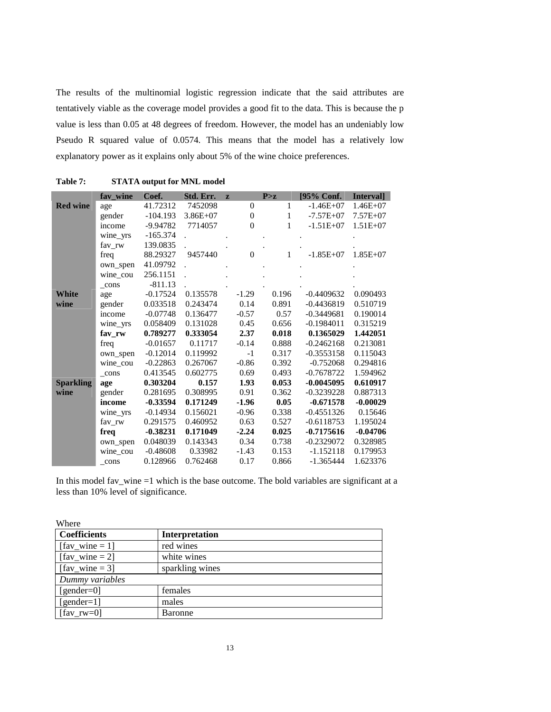The results of the multinomial logistic regression indicate that the said attributes are tentatively viable as the coverage model provides a good fit to the data. This is because the p value is less than 0.05 at 48 degrees of freedom. However, the model has an undeniably low Pseudo R squared value of 0.0574. This means that the model has a relatively low explanatory power as it explains only about 5% of the wine choice preferences.

|                  | fav_wine | Coef.      | Std. Err.  | $\mathbf{z}$ |                  | P > z        | [95% Conf.   | Interval]    |
|------------------|----------|------------|------------|--------------|------------------|--------------|--------------|--------------|
| <b>Red wine</b>  | age      | 41.72312   | 7452098    |              | $\theta$         | $\mathbf{1}$ | $-1.46E+07$  | $1.46E+07$   |
|                  | gender   | $-104.193$ | $3.86E+07$ |              | $\boldsymbol{0}$ | $\mathbf{1}$ | $-7.57E+07$  | $7.57E + 07$ |
|                  | income   | -9.94782   | 7714057    |              | $\overline{0}$   | 1            | $-1.51E+07$  | $1.51E+07$   |
|                  | wine_yrs | $-165.374$ |            |              |                  |              |              |              |
|                  | fav rw   | 139.0835   |            |              |                  |              |              |              |
|                  | freq     | 88.29327   | 9457440    |              | $\theta$         | $\mathbf{1}$ | $-1.85E+07$  | $1.85E+07$   |
|                  | own_spen | 41.09792   |            |              |                  |              |              |              |
|                  | wine cou | 256.1151   |            |              |                  |              |              |              |
|                  | cons     | $-811.13$  |            |              |                  |              |              |              |
| White            | age      | $-0.17524$ | 0.135578   |              | $-1.29$          | 0.196        | $-0.4409632$ | 0.090493     |
| wine             | gender   | 0.033518   | 0.243474   |              | 0.14             | 0.891        | $-0.4436819$ | 0.510719     |
|                  | income   | $-0.07748$ | 0.136477   |              | $-0.57$          | 0.57         | $-0.3449681$ | 0.190014     |
|                  | wine_yrs | 0.058409   | 0.131028   |              | 0.45             | 0.656        | $-0.1984011$ | 0.315219     |
|                  | fav rw   | 0.789277   | 0.333054   |              | 2.37             | 0.018        | 0.1365029    | 1.442051     |
|                  | freq     | $-0.01657$ | 0.11717    |              | $-0.14$          | 0.888        | $-0.2462168$ | 0.213081     |
|                  | own spen | $-0.12014$ | 0.119992   |              | $-1$             | 0.317        | $-0.3553158$ | 0.115043     |
|                  | wine cou | $-0.22863$ | 0.267067   |              | $-0.86$          | 0.392        | $-0.752068$  | 0.294816     |
|                  | cons     | 0.413545   | 0.602775   |              | 0.69             | 0.493        | $-0.7678722$ | 1.594962     |
| <b>Sparkling</b> | age      | 0.303204   | 0.157      |              | 1.93             | 0.053        | $-0.0045095$ | 0.610917     |
| wine             | gender   | 0.281695   | 0.308995   |              | 0.91             | 0.362        | $-0.3239228$ | 0.887313     |
|                  | income   | $-0.33594$ | 0.171249   |              | $-1.96$          | 0.05         | $-0.671578$  | $-0.00029$   |
|                  | wine_yrs | $-0.14934$ | 0.156021   |              | $-0.96$          | 0.338        | $-0.4551326$ | 0.15646      |
|                  | fav rw   | 0.291575   | 0.460952   |              | 0.63             | 0.527        | $-0.6118753$ | 1.195024     |
|                  | freq     | $-0.38231$ | 0.171049   |              | $-2.24$          | 0.025        | $-0.7175616$ | $-0.04706$   |
|                  | own_spen | 0.048039   | 0.143343   |              | 0.34             | 0.738        | $-0.2329072$ | 0.328985     |
|                  | wine cou | $-0.48608$ | 0.33982    |              | $-1.43$          | 0.153        | $-1.152118$  | 0.179953     |
|                  | cons     | 0.128966   | 0.762468   |              | 0.17             | 0.866        | $-1.365444$  | 1.623376     |

**Table 7: STATA output for MNL model** 

In this model fav\_wine =1 which is the base outcome. The bold variables are significant at a less than 10% level of significance.

| Where                       |                       |
|-----------------------------|-----------------------|
| <b>Coefficients</b>         | <b>Interpretation</b> |
| $\lceil$ fav_wine = 1]      | red wines             |
| $\lceil$ fav_wine = 2]      | white wines           |
| $\lceil$ fav_wine = 3]      | sparkling wines       |
| Dummy variables             |                       |
| $\lceil$ gender=0 $\rceil$  | females               |
| $[gender=1]$                | males                 |
| $\left[$ fav_rw=0 $\right]$ | Baronne               |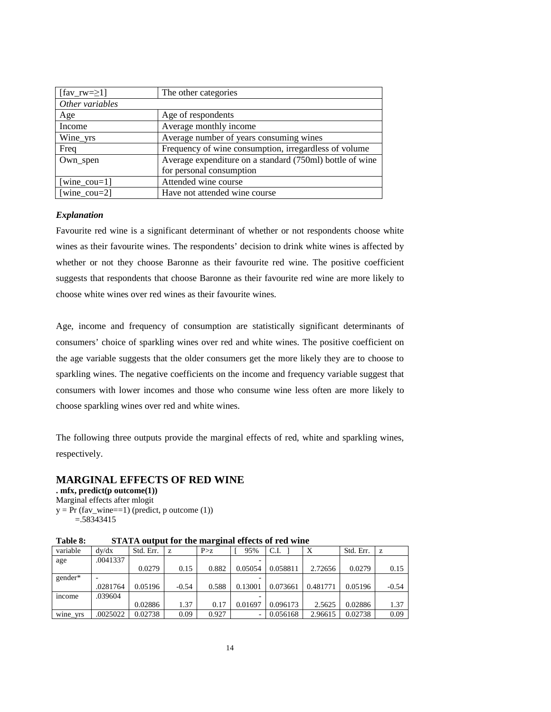| [fav_rw= $\geq$ 1]     | The other categories                                     |
|------------------------|----------------------------------------------------------|
| Other variables        |                                                          |
| Age                    | Age of respondents                                       |
| Income                 | Average monthly income                                   |
| Wine_yrs               | Average number of years consuming wines                  |
| Freq                   | Frequency of wine consumption, irregardless of volume    |
| Own spen               | Average expenditure on a standard (750ml) bottle of wine |
|                        | for personal consumption                                 |
| [wine_cou= $1$ ]       | Attended wine course                                     |
| [wine $\text{cou}=2$ ] | Have not attended wine course                            |

#### *Explanation*

Favourite red wine is a significant determinant of whether or not respondents choose white wines as their favourite wines. The respondents' decision to drink white wines is affected by whether or not they choose Baronne as their favourite red wine. The positive coefficient suggests that respondents that choose Baronne as their favourite red wine are more likely to choose white wines over red wines as their favourite wines.

Age, income and frequency of consumption are statistically significant determinants of consumers' choice of sparkling wines over red and white wines. The positive coefficient on the age variable suggests that the older consumers get the more likely they are to choose to sparkling wines. The negative coefficients on the income and frequency variable suggest that consumers with lower incomes and those who consume wine less often are more likely to choose sparkling wines over red and white wines.

The following three outputs provide the marginal effects of red, white and sparkling wines, respectively.

### **MARGINAL EFFECTS OF RED WINE**

**. mfx, predict(p outcome(1))**  Marginal effects after mlogit  $y = Pr$  (fav\_wine==1) (predict, p outcome (1))

 $=.58343415$ 

**Table 8: STATA output for the marginal effects of red wine** 

| variable | dv/dx    | Std. Err. | z       | P > z | 95%     | C.I.     | Х        | Std. Err. | z       |
|----------|----------|-----------|---------|-------|---------|----------|----------|-----------|---------|
| age      | .0041337 |           |         |       |         |          |          |           |         |
|          |          | 0.0279    | 0.15    | 0.882 | 0.05054 | 0.058811 | 2.72656  | 0.0279    | 0.15    |
| gender*  |          |           |         |       |         |          |          |           |         |
|          | .0281764 | 0.05196   | $-0.54$ | 0.588 | 0.13001 | 0.073661 | 0.481771 | 0.05196   | $-0.54$ |
| income   | .039604  |           |         |       |         |          |          |           |         |
|          |          | 0.02886   | 1.37    | 0.17  | 0.01697 | 0.096173 | 2.5625   | 0.02886   | 1.37    |
| wine_yrs | .0025022 | 0.02738   | 0.09    | 0.927 |         | 0.056168 | 2.96615  | 0.02738   | 0.09    |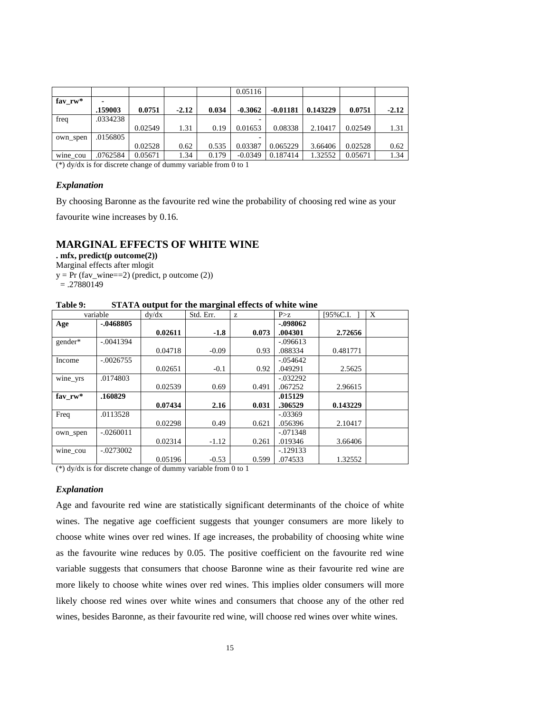|                             |          |         |         |       | 0.05116   |            |          |         |         |
|-----------------------------|----------|---------|---------|-------|-----------|------------|----------|---------|---------|
| $\mathbf{fav}_{\mathbf{r}}$ |          |         |         |       |           |            |          |         |         |
|                             | .159003  | 0.0751  | $-2.12$ | 0.034 | $-0.3062$ | $-0.01181$ | 0.143229 | 0.0751  | $-2.12$ |
| freq                        | .0334238 |         |         |       |           |            |          |         |         |
|                             |          | 0.02549 | 1.31    | 0.19  | 0.01653   | 0.08338    | 2.10417  | 0.02549 | 1.31    |
| own_spen                    | .0156805 |         |         |       |           |            |          |         |         |
|                             |          | 0.02528 | 0.62    | 0.535 | 0.03387   | 0.065229   | 3.66406  | 0.02528 | 0.62    |
| wine_cou                    | .0762584 | 0.05671 | 1.34    | 0.179 | $-0.0349$ | 0.187414   | 1.32552  | 0.05671 | 1.34    |

(\*) dy/dx is for discrete change of dummy variable from 0 to 1

#### *Explanation*

By choosing Baronne as the favourite red wine the probability of choosing red wine as your

favourite wine increases by 0.16.

### **MARGINAL EFFECTS OF WHITE WINE**

**. mfx, predict(p outcome(2))** 

Marginal effects after mlogit

 $y = Pr(fav_wine==2)$  (predict, p outcome  $(2)$ )

 $=.27880149$ 

**Table 9: STATA output for the marginal effects of white wine** 

|                          | variable    | dy/dx   | Std. Err. | Z.    | P > z       | [95%C.I. | X |
|--------------------------|-------------|---------|-----------|-------|-------------|----------|---|
| Age                      | $-0.468805$ |         |           |       | $-.098062$  |          |   |
|                          |             | 0.02611 | $-1.8$    | 0.073 | .004301     | 2.72656  |   |
| gender*                  | $-.0041394$ |         |           |       | $-.096613$  |          |   |
|                          |             | 0.04718 | $-0.09$   | 0.93  | .088334     | 0.481771 |   |
| Income                   | $-.0026755$ |         |           |       | $-0.054642$ |          |   |
|                          |             | 0.02651 | $-0.1$    | 0.92  | .049291     | 2.5625   |   |
| wine_yrs                 | .0174803    |         |           |       | $-.032292$  |          |   |
|                          |             | 0.02539 | 0.69      | 0.491 | .067252     | 2.96615  |   |
| $\text{fav}_{\text{iv}}$ | .160829     |         |           |       | .015129     |          |   |
|                          |             | 0.07434 | 2.16      | 0.031 | .306529     | 0.143229 |   |
| Freq                     | .0113528    |         |           |       | $-.03369$   |          |   |
|                          |             | 0.02298 | 0.49      | 0.621 | .056396     | 2.10417  |   |
| own_spen                 | $-.0260011$ |         |           |       | $-.071348$  |          |   |
|                          |             | 0.02314 | $-1.12$   | 0.261 | .019346     | 3.66406  |   |
| wine_cou                 | $-.0273002$ |         |           |       | $-129133$   |          |   |
|                          |             | 0.05196 | $-0.53$   | 0.599 | .074533     | 1.32552  |   |

(\*) dy/dx is for discrete change of dummy variable from 0 to 1

#### *Explanation*

Age and favourite red wine are statistically significant determinants of the choice of white wines. The negative age coefficient suggests that younger consumers are more likely to choose white wines over red wines. If age increases, the probability of choosing white wine as the favourite wine reduces by 0.05. The positive coefficient on the favourite red wine variable suggests that consumers that choose Baronne wine as their favourite red wine are more likely to choose white wines over red wines. This implies older consumers will more likely choose red wines over white wines and consumers that choose any of the other red wines, besides Baronne, as their favourite red wine, will choose red wines over white wines.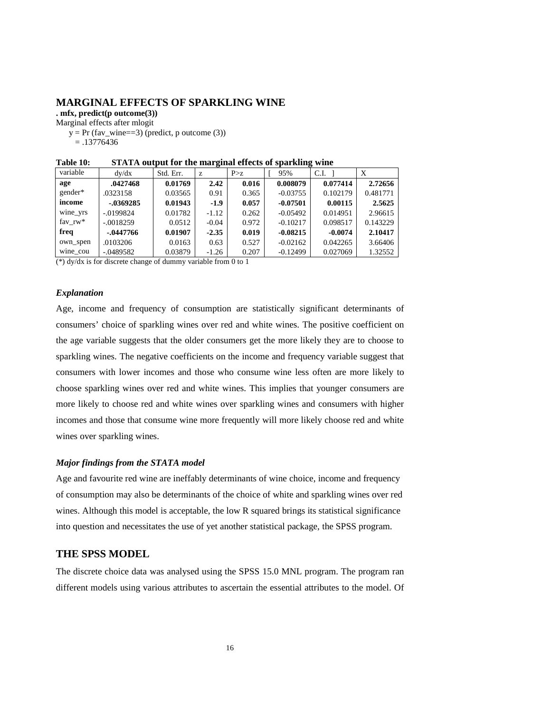### **MARGINAL EFFECTS OF SPARKLING WINE**

**. mfx, predict(p outcome(3))** 

Marginal effects after mlogit

 $y = Pr$  (fav\_wine==3) (predict, p outcome (3))  $= .13776436$ 

| Table 10: | STATA output for the marginal effects of sparkling wine |  |  |  |
|-----------|---------------------------------------------------------|--|--|--|
|           |                                                         |  |  |  |

| variable  | dv/dx        | Std. Err. | z       | P > z | 95%        | C.I.      | X        |
|-----------|--------------|-----------|---------|-------|------------|-----------|----------|
| age       | .0427468     | 0.01769   | 2.42    | 0.016 | 0.008079   | 0.077414  | 2.72656  |
| gender*   | .0323158     | 0.03565   | 0.91    | 0.365 | $-0.03755$ | 0.102179  | 0.481771 |
| income    | $-0.369285$  | 0.01943   | $-1.9$  | 0.057 | $-0.07501$ | 0.00115   | 2.5625   |
| wine_yrs  | $-.0199824$  | 0.01782   | $-1.12$ | 0.262 | $-0.05492$ | 0.014951  | 2.96615  |
| fav $rw*$ | $-.0018259$  | 0.0512    | $-0.04$ | 0.972 | $-0.10217$ | 0.098517  | 0.143229 |
| freq      | $-0.0447766$ | 0.01907   | $-2.35$ | 0.019 | $-0.08215$ | $-0.0074$ | 2.10417  |
| own_spen  | .0103206     | 0.0163    | 0.63    | 0.527 | $-0.02162$ | 0.042265  | 3.66406  |
| wine cou  | $-.0489582$  | 0.03879   | $-1.26$ | 0.207 | $-0.12499$ | 0.027069  | 1.32552  |

 $\sqrt{\frac{4}{3}}$  dy/dx is for discrete change of dummy variable from 0 to 1

#### *Explanation*

Age, income and frequency of consumption are statistically significant determinants of consumers' choice of sparkling wines over red and white wines. The positive coefficient on the age variable suggests that the older consumers get the more likely they are to choose to sparkling wines. The negative coefficients on the income and frequency variable suggest that consumers with lower incomes and those who consume wine less often are more likely to choose sparkling wines over red and white wines. This implies that younger consumers are more likely to choose red and white wines over sparkling wines and consumers with higher incomes and those that consume wine more frequently will more likely choose red and white wines over sparkling wines.

#### *Major findings from the STATA model*

Age and favourite red wine are ineffably determinants of wine choice, income and frequency of consumption may also be determinants of the choice of white and sparkling wines over red wines. Although this model is acceptable, the low R squared brings its statistical significance into question and necessitates the use of yet another statistical package, the SPSS program.

### **THE SPSS MODEL**

The discrete choice data was analysed using the SPSS 15.0 MNL program. The program ran different models using various attributes to ascertain the essential attributes to the model. Of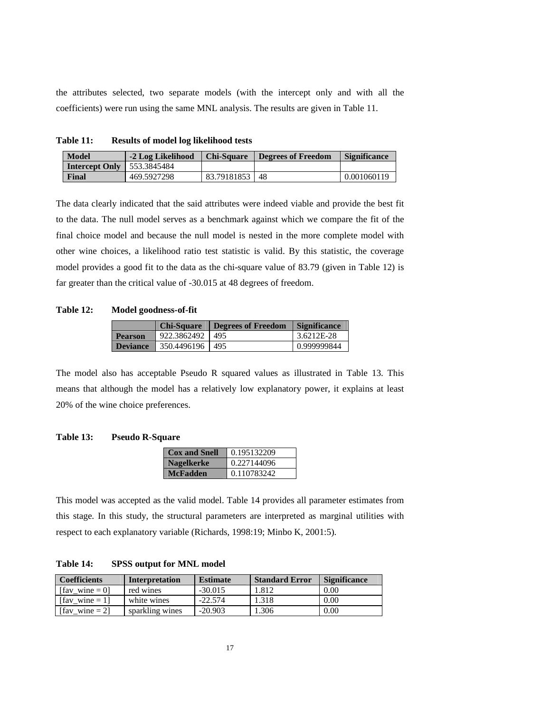the attributes selected, two separate models (with the intercept only and with all the coefficients) were run using the same MNL analysis. The results are given in Table 11.

| <b>Model</b>                        | -2 Log Likelihood | <b>Chi-Square</b> | Degrees of Freedom | <b>Significance</b> |
|-------------------------------------|-------------------|-------------------|--------------------|---------------------|
| <b>Intercept Only 1 553.3845484</b> |                   |                   |                    |                     |
| Final                               | 469.5927298       | 83.79181853       | -48                | 0.001060119         |

**Table 11: Results of model log likelihood tests** 

The data clearly indicated that the said attributes were indeed viable and provide the best fit to the data. The null model serves as a benchmark against which we compare the fit of the final choice model and because the null model is nested in the more complete model with other wine choices, a likelihood ratio test statistic is valid. By this statistic, the coverage model provides a good fit to the data as the chi-square value of 83.79 (given in Table 12) is far greater than the critical value of -30.015 at 48 degrees of freedom.

### **Table 12: Model goodness-of-fit**

|                 | <b>Chi-Square</b> | Degrees of Freedom | <b>Significance</b> |
|-----------------|-------------------|--------------------|---------------------|
| <b>Pearson</b>  | 922.3862492       | l 495              | 3.6212E-28          |
| <b>Deviance</b> | 350.4496196   495 |                    | 0.999999844         |

The model also has acceptable Pseudo R squared values as illustrated in Table 13. This means that although the model has a relatively low explanatory power, it explains at least 20% of the wine choice preferences.

#### **Table 13: Pseudo R-Square**

| <b>Cox and Snell</b> | 0.195132209 |
|----------------------|-------------|
| <b>Nagelkerke</b>    | 0.227144096 |
| McFadden             | 0.110783242 |

This model was accepted as the valid model. Table 14 provides all parameter estimates from this stage. In this study, the structural parameters are interpreted as marginal utilities with respect to each explanatory variable (Richards, 1998:19; Minbo K, 2001:5).

**Table 14: SPSS output for MNL model** 

| <b>Coefficients</b>     | <b>Interpretation</b> | <b>Estimate</b> | <b>Standard Error</b> | <b>Significance</b> |
|-------------------------|-----------------------|-----------------|-----------------------|---------------------|
| [fav wine $= 0$ ]       | red wines             | $-30.015$       | 1.812                 | 0.00                |
| $\text{[fav wine = 1]}$ | white wines           | $-22.574$       | 1.318                 | 0.00                |
| $\lceil$ fav wine = 2]  | sparkling wines       | $-20.903$       | 1.306                 | 0.00                |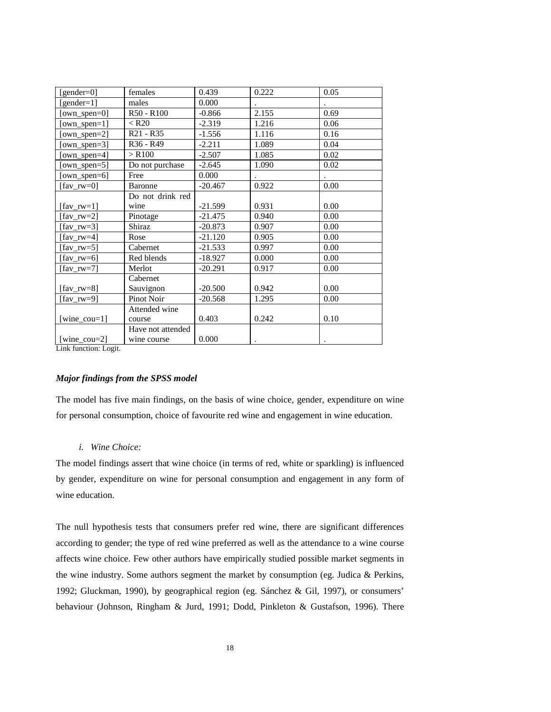| $[gender=0]$                                           | females                           | 0.439     | 0.222 | 0.05 |
|--------------------------------------------------------|-----------------------------------|-----------|-------|------|
| $[gender=1]$                                           | males                             | 0.000     |       |      |
| $[own\_open=0]$                                        | R50 - R100                        | $-0.866$  | 2.155 | 0.69 |
| [own_spen=1]                                           | $<$ R20                           | $-2.319$  | 1.216 | 0.06 |
| [own_spen= $2$ ]                                       | R <sub>21</sub> - R <sub>35</sub> | $-1.556$  | 1.116 | 0.16 |
| $[own\_open=3]$                                        | R36 - R49                         | $-2.211$  | 1.089 | 0.04 |
| [own_spen=4]                                           | $>$ R100                          | $-2.507$  | 1.085 | 0.02 |
| [own_spen=5]                                           | Do not purchase                   | $-2.645$  | 1.090 | 0.02 |
| [own_spen=6]                                           | Free                              | 0.000     |       |      |
| $\left[$ fav_rw=0 $\right]$                            | Baronne                           | $-20.467$ | 0.922 | 0.00 |
|                                                        | Do not drink red                  |           |       |      |
| $[\text{fav}_{rw=1}]$                                  | wine                              | $-21.599$ | 0.931 | 0.00 |
| $\lceil$ fav_rw=2]                                     | Pinotage                          | $-21.475$ | 0.940 | 0.00 |
| $\left[ \text{fav}_{rw=3} \right]$                     | Shiraz                            | $-20.873$ | 0.907 | 0.00 |
| $\left[$ fav_rw=4 $\right]$                            | Rose                              | $-21.120$ | 0.905 | 0.00 |
| $\left[$ fav_rw=5 $\right]$                            | Cabernet                          | $-21.533$ | 0.997 | 0.00 |
| $\lceil \text{fav} \rceil$ rw=6                        | Red blends                        | $-18.927$ | 0.000 | 0.00 |
| $\lceil \text{fav}_{\text{av}} - \text{rw} = 7 \rceil$ | Merlot                            | $-20.291$ | 0.917 | 0.00 |
|                                                        | Cabernet                          |           |       |      |
| $\lceil$ fav_rw=8]                                     | Sauvignon                         | $-20.500$ | 0.942 | 0.00 |
| $\left[$ fav_rw=9 $\right]$                            | Pinot Noir                        | $-20.568$ | 1.295 | 0.00 |
|                                                        | Attended wine                     |           |       |      |
| [wine_cou= $1$ ]                                       | course                            | 0.403     | 0.242 | 0.10 |
|                                                        | Have not attended                 |           |       |      |
| [wine_cou= $2$ ]                                       | wine course                       | 0.000     |       |      |

Link function: Logit.

### *Major findings from the SPSS model*

The model has five main findings, on the basis of wine choice, gender, expenditure on wine for personal consumption, choice of favourite red wine and engagement in wine education.

#### *i. Wine Choice:*

The model findings assert that wine choice (in terms of red, white or sparkling) is influenced by gender, expenditure on wine for personal consumption and engagement in any form of wine education.

The null hypothesis tests that consumers prefer red wine, there are significant differences according to gender; the type of red wine preferred as well as the attendance to a wine course affects wine choice. Few other authors have empirically studied possible market segments in the wine industry. Some authors segment the market by consumption (eg. Judica & Perkins, 1992; Gluckman, 1990), by geographical region (eg. Sánchez & Gil, 1997), or consumers' behaviour (Johnson, Ringham & Jurd, 1991; Dodd, Pinkleton & Gustafson, 1996). There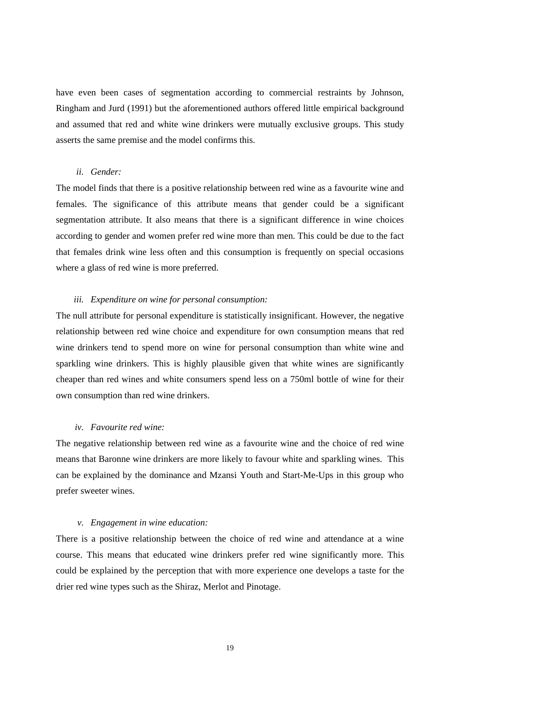have even been cases of segmentation according to commercial restraints by Johnson, Ringham and Jurd (1991) but the aforementioned authors offered little empirical background and assumed that red and white wine drinkers were mutually exclusive groups. This study asserts the same premise and the model confirms this.

#### *ii. Gender:*

The model finds that there is a positive relationship between red wine as a favourite wine and females. The significance of this attribute means that gender could be a significant segmentation attribute. It also means that there is a significant difference in wine choices according to gender and women prefer red wine more than men. This could be due to the fact that females drink wine less often and this consumption is frequently on special occasions where a glass of red wine is more preferred.

#### *iii. Expenditure on wine for personal consumption:*

The null attribute for personal expenditure is statistically insignificant. However, the negative relationship between red wine choice and expenditure for own consumption means that red wine drinkers tend to spend more on wine for personal consumption than white wine and sparkling wine drinkers. This is highly plausible given that white wines are significantly cheaper than red wines and white consumers spend less on a 750ml bottle of wine for their own consumption than red wine drinkers.

#### *iv. Favourite red wine:*

The negative relationship between red wine as a favourite wine and the choice of red wine means that Baronne wine drinkers are more likely to favour white and sparkling wines. This can be explained by the dominance and Mzansi Youth and Start-Me-Ups in this group who prefer sweeter wines.

#### *v. Engagement in wine education:*

There is a positive relationship between the choice of red wine and attendance at a wine course. This means that educated wine drinkers prefer red wine significantly more. This could be explained by the perception that with more experience one develops a taste for the drier red wine types such as the Shiraz, Merlot and Pinotage.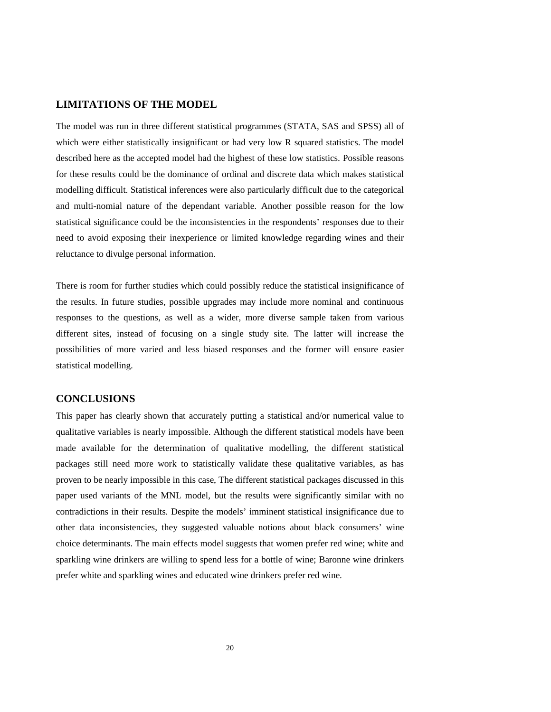### **LIMITATIONS OF THE MODEL**

The model was run in three different statistical programmes (STATA, SAS and SPSS) all of which were either statistically insignificant or had very low R squared statistics. The model described here as the accepted model had the highest of these low statistics. Possible reasons for these results could be the dominance of ordinal and discrete data which makes statistical modelling difficult. Statistical inferences were also particularly difficult due to the categorical and multi-nomial nature of the dependant variable. Another possible reason for the low statistical significance could be the inconsistencies in the respondents' responses due to their need to avoid exposing their inexperience or limited knowledge regarding wines and their reluctance to divulge personal information.

There is room for further studies which could possibly reduce the statistical insignificance of the results. In future studies, possible upgrades may include more nominal and continuous responses to the questions, as well as a wider, more diverse sample taken from various different sites, instead of focusing on a single study site. The latter will increase the possibilities of more varied and less biased responses and the former will ensure easier statistical modelling.

### **CONCLUSIONS**

This paper has clearly shown that accurately putting a statistical and/or numerical value to qualitative variables is nearly impossible. Although the different statistical models have been made available for the determination of qualitative modelling, the different statistical packages still need more work to statistically validate these qualitative variables, as has proven to be nearly impossible in this case, The different statistical packages discussed in this paper used variants of the MNL model, but the results were significantly similar with no contradictions in their results. Despite the models' imminent statistical insignificance due to other data inconsistencies, they suggested valuable notions about black consumers' wine choice determinants. The main effects model suggests that women prefer red wine; white and sparkling wine drinkers are willing to spend less for a bottle of wine; Baronne wine drinkers prefer white and sparkling wines and educated wine drinkers prefer red wine.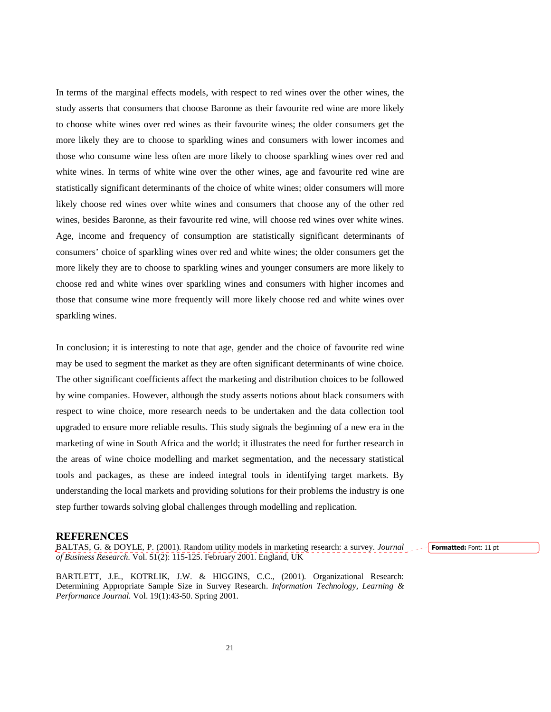In terms of the marginal effects models, with respect to red wines over the other wines, the study asserts that consumers that choose Baronne as their favourite red wine are more likely to choose white wines over red wines as their favourite wines; the older consumers get the more likely they are to choose to sparkling wines and consumers with lower incomes and those who consume wine less often are more likely to choose sparkling wines over red and white wines. In terms of white wine over the other wines, age and favourite red wine are statistically significant determinants of the choice of white wines; older consumers will more likely choose red wines over white wines and consumers that choose any of the other red wines, besides Baronne, as their favourite red wine, will choose red wines over white wines. Age, income and frequency of consumption are statistically significant determinants of consumers' choice of sparkling wines over red and white wines; the older consumers get the more likely they are to choose to sparkling wines and younger consumers are more likely to choose red and white wines over sparkling wines and consumers with higher incomes and those that consume wine more frequently will more likely choose red and white wines over sparkling wines.

In conclusion; it is interesting to note that age, gender and the choice of favourite red wine may be used to segment the market as they are often significant determinants of wine choice. The other significant coefficients affect the marketing and distribution choices to be followed by wine companies. However, although the study asserts notions about black consumers with respect to wine choice, more research needs to be undertaken and the data collection tool upgraded to ensure more reliable results. This study signals the beginning of a new era in the marketing of wine in South Africa and the world; it illustrates the need for further research in the areas of wine choice modelling and market segmentation, and the necessary statistical tools and packages, as these are indeed integral tools in identifying target markets. By understanding the local markets and providing solutions for their problems the industry is one step further towards solving global challenges through modelling and replication.

#### **REFERENCES**

BALTAS, G. & DOYLE, P. (2001). Random utility models in marketing research: a survey. *Journal* [15] **Formatted:** Font: 11 pt *of Business Research.* Vol. 51(2): 115-125. February 2001. England, UK

BARTLETT, J.E., KOTRLIK, J.W. & HIGGINS, C.C., (2001). Organizational Research: Determining Appropriate Sample Size in Survey Research. *Information Technology, Learning & Performance Journal.* Vol. 19(1):43-50. Spring 2001.